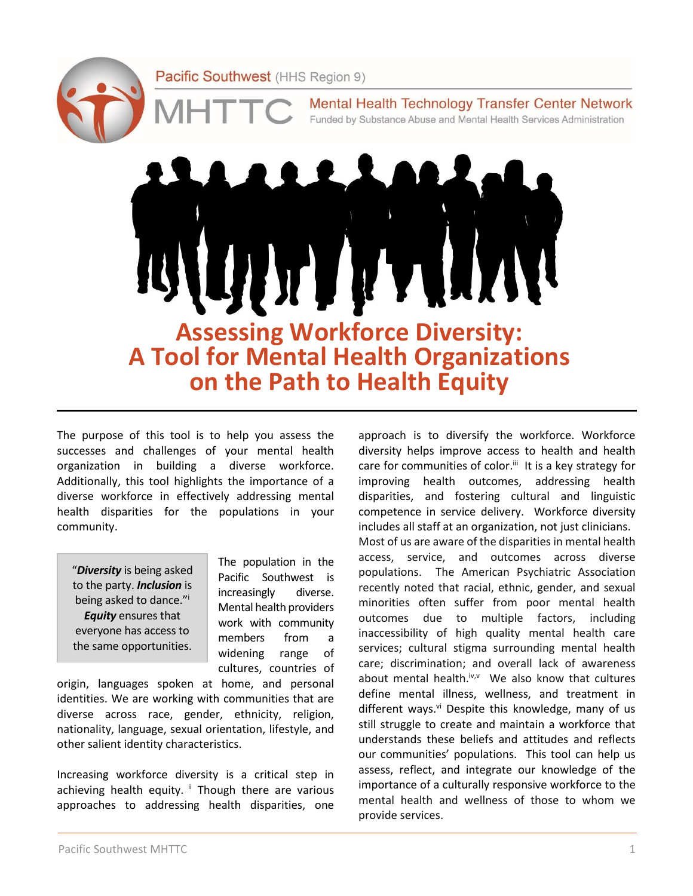Mental Health Technology Transfer Center Network Funded by Substance Abuse and Mental Health Services Administration

**Assessing Workforce Diversity: A Tool for Mental Health Organizations**

**on the Path to Health Equity**

The purpose of this tool is to help you assess the successes and challenges of your mental health organization in building a diverse workforce. Additionally, this tool highlights the importance of a diverse workforce in effectively addressing mental health disparities for the populations in your community.

"*Diversity* is being asked to the party. *Inclusion* is being asked to dance."<sup>i</sup> *Equity* ensures that everyone has access to the same opportunities.

The population in the Pacific Southwest is increasingly diverse. Mental health providers work with community members from a widening range of cultures, countries of

origin, languages spoken at home, and personal identities. We are working with communities that are diverse across race, gender, ethnicity, religion, nationality, language, sexual orientation, lifestyle, and other salient identity characteristics.

Increasing workforce diversity is a critical step in achieving health equity. " Though there are various approaches to addressing health disparities, one approach is to diversify the workforce. Workforce diversity helps improve access to health and health care for communities of color.<sup>ii</sup> It is a key strategy for improving health outcomes, addressing health disparities, and fostering cultural and linguistic competence in service delivery. Workforce diversity includes all staff at an organization, not just clinicians. Most of us are aware of the disparities in mental health access, service, and outcomes across diverse populations. The American Psychiatric Association recently noted that racial, ethnic, gender, and sexual minorities often suffer from poor mental health outcomes due to multiple factors, including inaccessibility of high quality mental health care services; cultural stigma surrounding mental health care; discrimination; and overall lack of awareness about mental health.<sup>iv,v</sup> We also know that cultures define mental illness, wellness, and treatment in different ways.<sup>vi</sup> Despite this knowledge, many of us still struggle to create and maintain a workforce that understands these beliefs and attitudes and reflects our communities' populations. This tool can help us assess, reflect, and integrate our knowledge of the importance of a culturally responsive workforce to the mental health and wellness of those to whom we provide services.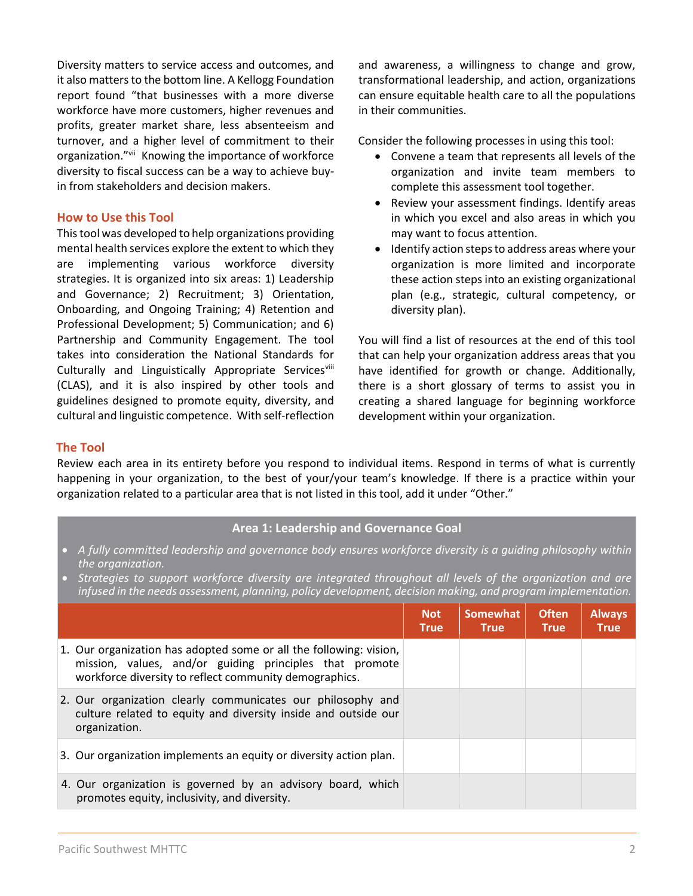Diversity matters to service access and outcomes, and it also matters to the bottom line. A Kellogg Foundation report found "that businesses with a more diverse workforce have more customers, higher revenues and profits, greater market share, less absenteeism and turnover, and a higher level of commitment to their organization."vii Knowing the importance of workforce diversity to fiscal success can be a way to achieve buyin from stakeholders and decision makers.

# **How to Use this Tool**

This tool was developed to help organizations providing mental health services explore the extent to which they are implementing various workforce diversity strategies. It is organized into six areas: 1) Leadership and Governance; 2) Recruitment; 3) Orientation, Onboarding, and Ongoing Training; 4) Retention and Professional Development; 5) Communication; and 6) Partnership and Community Engagement. The tool takes into consideration the National Standards for Culturally and Linguistically Appropriate Servicesviii (CLAS), and it is also inspired by other tools and guidelines designed to promote equity, diversity, and cultural and linguistic competence. With self-reflection and awareness, a willingness to change and grow, transformational leadership, and action, organizations can ensure equitable health care to all the populations in their communities.

Consider the following processes in using this tool:

- Convene a team that represents all levels of the organization and invite team members to complete this assessment tool together.
- Review your assessment findings. Identify areas in which you excel and also areas in which you may want to focus attention.
- Identify action steps to address areas where your organization is more limited and incorporate these action steps into an existing organizational plan (e.g., strategic, cultural competency, or diversity plan).

You will find a list of resources at the end of this tool that can help your organization address areas that you have identified for growth or change. Additionally, there is a short glossary of terms to assist you in creating a shared language for beginning workforce development within your organization.

### **The Tool**

Review each area in its entirety before you respond to individual items. Respond in terms of what is currently happening in your organization, to the best of your/your team's knowledge. If there is a practice within your organization related to a particular area that is not listed in this tool, add it under "Other."

# **Area 1: Leadership and Governance Goal**

- *A fully committed leadership and governance body ensures workforce diversity is a guiding philosophy within the organization.*
- *Strategies to support workforce diversity are integrated throughout all levels of the organization and are infused in the needs assessment, planning, policy development, decision making, and program implementation.*

|                                                                                                                                                                                         | <b>Not</b><br><b>True</b> | Somewhat<br><b>True</b> | <b>Often</b><br><b>True</b> | <b>Always</b><br><b>True</b> |
|-----------------------------------------------------------------------------------------------------------------------------------------------------------------------------------------|---------------------------|-------------------------|-----------------------------|------------------------------|
| 1. Our organization has adopted some or all the following: vision,<br>mission, values, and/or guiding principles that promote<br>workforce diversity to reflect community demographics. |                           |                         |                             |                              |
| 2. Our organization clearly communicates our philosophy and<br>culture related to equity and diversity inside and outside our<br>organization.                                          |                           |                         |                             |                              |
| 3. Our organization implements an equity or diversity action plan.                                                                                                                      |                           |                         |                             |                              |
| 4. Our organization is governed by an advisory board, which<br>promotes equity, inclusivity, and diversity.                                                                             |                           |                         |                             |                              |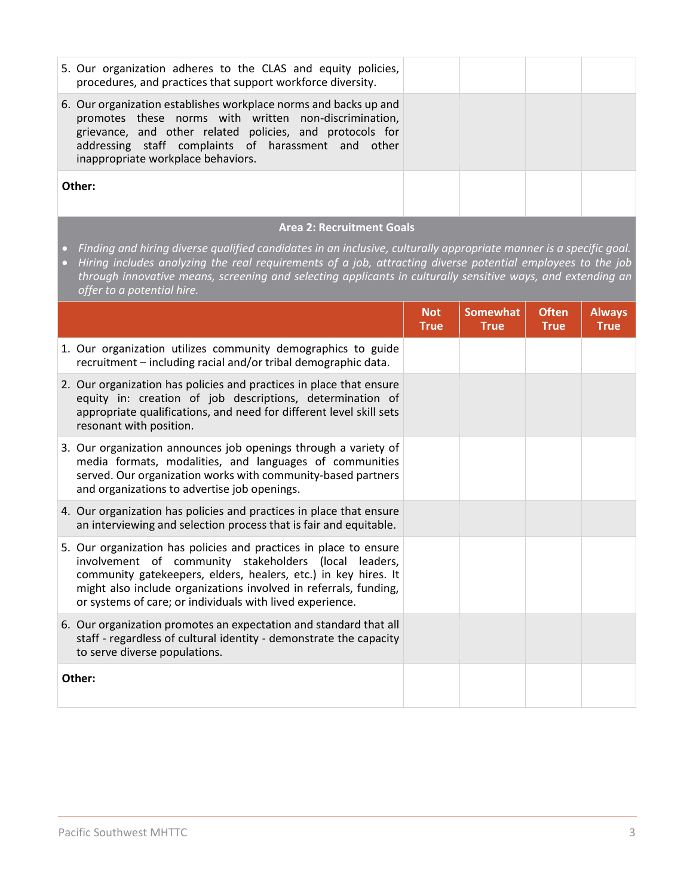| 5. Our organization adheres to the CLAS and equity policies,<br>procedures, and practices that support workforce diversity.                                                                                                                                                        |  |  |
|------------------------------------------------------------------------------------------------------------------------------------------------------------------------------------------------------------------------------------------------------------------------------------|--|--|
| 6. Our organization establishes workplace norms and backs up and<br>promotes these norms with written non-discrimination,<br>grievance, and other related policies, and protocols for<br>addressing staff complaints of harassment and other<br>inappropriate workplace behaviors. |  |  |
| Other:                                                                                                                                                                                                                                                                             |  |  |

### **Area 2: Recruitment Goals**

- *Finding and hiring diverse qualified candidates in an inclusive, culturally appropriate manner is a specific goal.*
- *Hiring includes analyzing the real requirements of a job, attracting diverse potential employees to the job through innovative means, screening and selecting applicants in culturally sensitive ways, and extending an offer to a potential hire.*

|                                                                                                                                                                                                                                                                                                                               | <b>Not</b><br><b>True</b> | <b>Somewhat</b><br><b>True</b> | <b>Often</b><br><b>True</b> | <b>Always</b><br><b>True</b> |
|-------------------------------------------------------------------------------------------------------------------------------------------------------------------------------------------------------------------------------------------------------------------------------------------------------------------------------|---------------------------|--------------------------------|-----------------------------|------------------------------|
| 1. Our organization utilizes community demographics to guide<br>recruitment - including racial and/or tribal demographic data.                                                                                                                                                                                                |                           |                                |                             |                              |
| 2. Our organization has policies and practices in place that ensure<br>equity in: creation of job descriptions, determination of<br>appropriate qualifications, and need for different level skill sets<br>resonant with position.                                                                                            |                           |                                |                             |                              |
| 3. Our organization announces job openings through a variety of<br>media formats, modalities, and languages of communities<br>served. Our organization works with community-based partners<br>and organizations to advertise job openings.                                                                                    |                           |                                |                             |                              |
| 4. Our organization has policies and practices in place that ensure<br>an interviewing and selection process that is fair and equitable.                                                                                                                                                                                      |                           |                                |                             |                              |
| 5. Our organization has policies and practices in place to ensure<br>involvement of community stakeholders (local leaders,<br>community gatekeepers, elders, healers, etc.) in key hires. It<br>might also include organizations involved in referrals, funding,<br>or systems of care; or individuals with lived experience. |                           |                                |                             |                              |
| 6. Our organization promotes an expectation and standard that all<br>staff - regardless of cultural identity - demonstrate the capacity<br>to serve diverse populations.                                                                                                                                                      |                           |                                |                             |                              |
| Other:                                                                                                                                                                                                                                                                                                                        |                           |                                |                             |                              |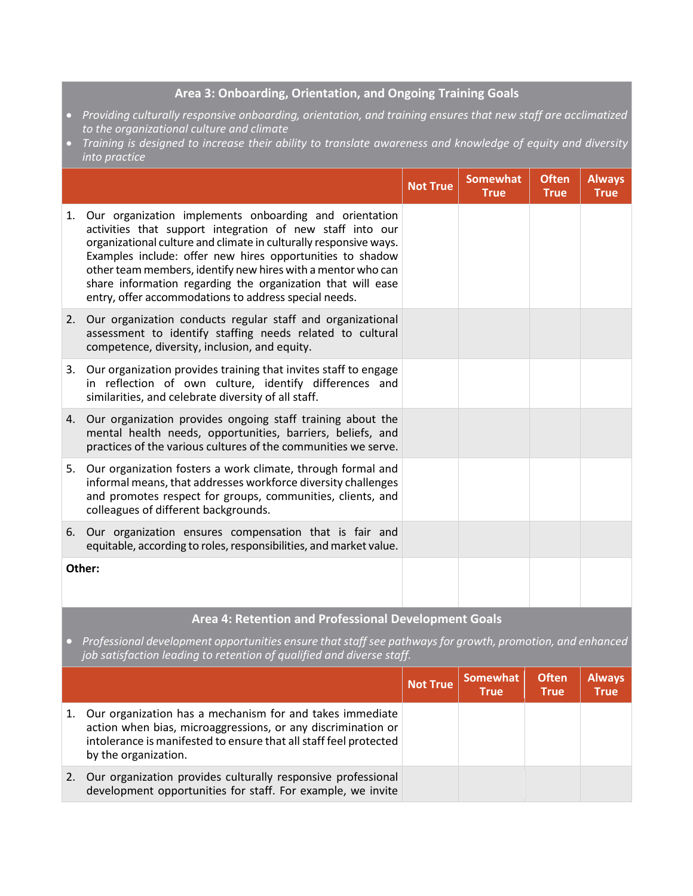# **Area 3: Onboarding, Orientation, and Ongoing Training Goals**

- *Providing culturally responsive onboarding, orientation, and training ensures that new staff are acclimatized to the organizational culture and climate*
- *Training is designed to increase their ability to translate awareness and knowledge of equity and diversity into practice*

|    |                                                                                                                                                                                                                                                                                                                                                                                                                                               | <b>Not True</b> | <b>Somewhat</b><br><b>True</b> | <b>Often</b><br><b>True</b> | <b>Always</b><br><b>True</b> |  |  |
|----|-----------------------------------------------------------------------------------------------------------------------------------------------------------------------------------------------------------------------------------------------------------------------------------------------------------------------------------------------------------------------------------------------------------------------------------------------|-----------------|--------------------------------|-----------------------------|------------------------------|--|--|
| 1. | Our organization implements onboarding and orientation<br>activities that support integration of new staff into our<br>organizational culture and climate in culturally responsive ways.<br>Examples include: offer new hires opportunities to shadow<br>other team members, identify new hires with a mentor who can<br>share information regarding the organization that will ease<br>entry, offer accommodations to address special needs. |                 |                                |                             |                              |  |  |
|    | 2. Our organization conducts regular staff and organizational<br>assessment to identify staffing needs related to cultural<br>competence, diversity, inclusion, and equity.                                                                                                                                                                                                                                                                   |                 |                                |                             |                              |  |  |
| 3. | Our organization provides training that invites staff to engage<br>in reflection of own culture, identify differences and<br>similarities, and celebrate diversity of all staff.                                                                                                                                                                                                                                                              |                 |                                |                             |                              |  |  |
| 4. | Our organization provides ongoing staff training about the<br>mental health needs, opportunities, barriers, beliefs, and<br>practices of the various cultures of the communities we serve.                                                                                                                                                                                                                                                    |                 |                                |                             |                              |  |  |
| 5. | Our organization fosters a work climate, through formal and<br>informal means, that addresses workforce diversity challenges<br>and promotes respect for groups, communities, clients, and<br>colleagues of different backgrounds.                                                                                                                                                                                                            |                 |                                |                             |                              |  |  |
| 6. | Our organization ensures compensation that is fair and<br>equitable, according to roles, responsibilities, and market value.                                                                                                                                                                                                                                                                                                                  |                 |                                |                             |                              |  |  |
|    | Other:                                                                                                                                                                                                                                                                                                                                                                                                                                        |                 |                                |                             |                              |  |  |
|    | <b>Area 4: Retention and Professional Development Goals</b>                                                                                                                                                                                                                                                                                                                                                                                   |                 |                                |                             |                              |  |  |

• *Professional development opportunities ensure that staff see pathways for growth, promotion, and enhanced job satisfaction leading to retention of qualified and diverse staff.*

|    |                                                                                                                                                                                                                       | <b>Not True</b> | Somewhat<br><b>True</b> | <b>Often</b><br><b>True</b> | <b>Always</b><br><b>True</b> |
|----|-----------------------------------------------------------------------------------------------------------------------------------------------------------------------------------------------------------------------|-----------------|-------------------------|-----------------------------|------------------------------|
| 1. | Our organization has a mechanism for and takes immediate<br>action when bias, microaggressions, or any discrimination or<br>intolerance is manifested to ensure that all staff feel protected<br>by the organization. |                 |                         |                             |                              |
| 2. | Our organization provides culturally responsive professional<br>development opportunities for staff. For example, we invite                                                                                           |                 |                         |                             |                              |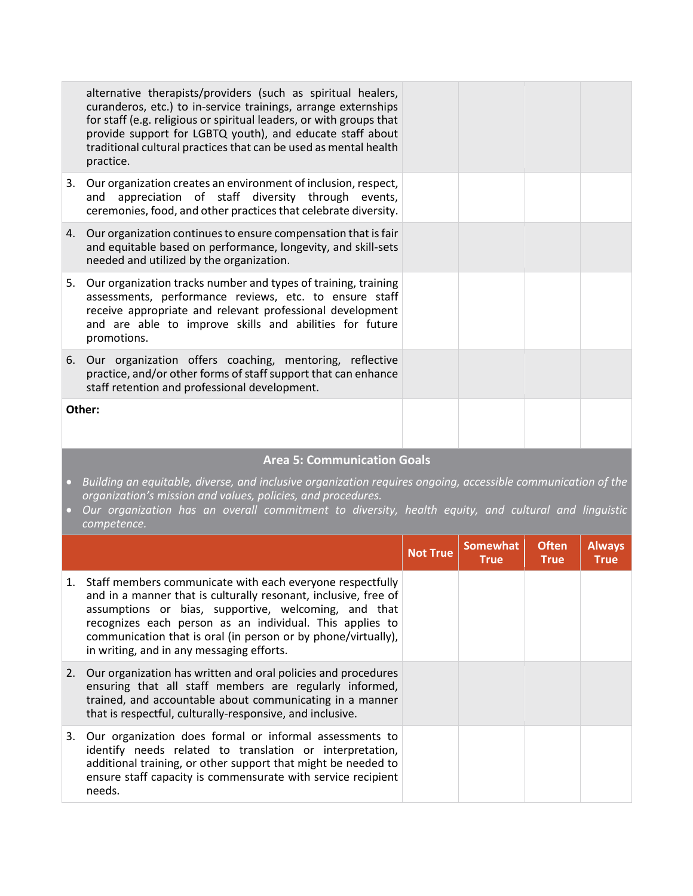|                        | alternative therapists/providers (such as spiritual healers,<br>curanderos, etc.) to in-service trainings, arrange externships<br>for staff (e.g. religious or spiritual leaders, or with groups that<br>provide support for LGBTQ youth), and educate staff about<br>traditional cultural practices that can be used as mental health<br>practice. |  |  |
|------------------------|-----------------------------------------------------------------------------------------------------------------------------------------------------------------------------------------------------------------------------------------------------------------------------------------------------------------------------------------------------|--|--|
|                        | 3. Our organization creates an environment of inclusion, respect,<br>appreciation of staff diversity through events,<br>and<br>ceremonies, food, and other practices that celebrate diversity.                                                                                                                                                      |  |  |
|                        | 4. Our organization continues to ensure compensation that is fair<br>and equitable based on performance, longevity, and skill-sets<br>needed and utilized by the organization.                                                                                                                                                                      |  |  |
|                        | 5. Our organization tracks number and types of training, training<br>assessments, performance reviews, etc. to ensure staff<br>receive appropriate and relevant professional development<br>and are able to improve skills and abilities for future<br>promotions.                                                                                  |  |  |
| 6.                     | Our organization offers coaching, mentoring, reflective<br>practice, and/or other forms of staff support that can enhance<br>staff retention and professional development.                                                                                                                                                                          |  |  |
|                        | Other:                                                                                                                                                                                                                                                                                                                                              |  |  |
|                        | <b>Area 5: Communication Goals</b>                                                                                                                                                                                                                                                                                                                  |  |  |
| $\bullet$<br>$\bullet$ | Building an equitable, diverse, and inclusive organization requires ongoing, accessible communication of the<br>organization's mission and values, policies, and procedures.<br>Our organization has an overall commitment to diversity, health equity, and cultural and linguistic<br>competence.                                                  |  |  |

|    |                                                                                                                                                                                                                                                                                                                                                                | <b>Not True</b> | <b>Somewhat</b><br><b>True</b> | <b>Often</b><br><b>True</b> | <b>Always</b><br><b>True</b> |
|----|----------------------------------------------------------------------------------------------------------------------------------------------------------------------------------------------------------------------------------------------------------------------------------------------------------------------------------------------------------------|-----------------|--------------------------------|-----------------------------|------------------------------|
| 1. | Staff members communicate with each everyone respectfully<br>and in a manner that is culturally resonant, inclusive, free of<br>assumptions or bias, supportive, welcoming, and that<br>recognizes each person as an individual. This applies to<br>communication that is oral (in person or by phone/virtually),<br>in writing, and in any messaging efforts. |                 |                                |                             |                              |
| 2. | Our organization has written and oral policies and procedures<br>ensuring that all staff members are regularly informed,<br>trained, and accountable about communicating in a manner<br>that is respectful, culturally-responsive, and inclusive.                                                                                                              |                 |                                |                             |                              |
| 3. | Our organization does formal or informal assessments to<br>identify needs related to translation or interpretation,<br>additional training, or other support that might be needed to<br>ensure staff capacity is commensurate with service recipient<br>needs.                                                                                                 |                 |                                |                             |                              |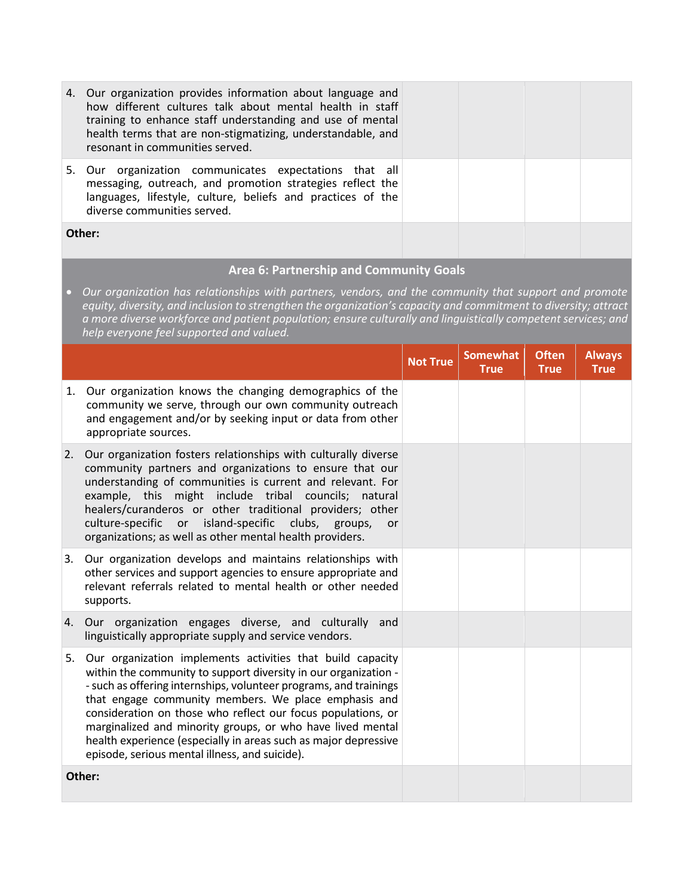| 4. Our organization provides information about language and<br>how different cultures talk about mental health in staff<br>training to enhance staff understanding and use of mental<br>health terms that are non-stigmatizing, understandable, and<br>resonant in communities served. |  |  |
|----------------------------------------------------------------------------------------------------------------------------------------------------------------------------------------------------------------------------------------------------------------------------------------|--|--|
| 5. Our organization communicates expectations that all<br>messaging, outreach, and promotion strategies reflect the<br>languages, lifestyle, culture, beliefs and practices of the<br>diverse communities served.                                                                      |  |  |
| Other:                                                                                                                                                                                                                                                                                 |  |  |

# **Area 6: Partnership and Community Goals**

• *Our organization has relationships with partners, vendors, and the community that support and promote equity, diversity, and inclusion to strengthen the organization's capacity and commitment to diversity; attract a more diverse workforce and patient population; ensure culturally and linguistically competent services; and help everyone feel supported and valued.* 

|    |                                                                                                                                                                                                                                                                                                                                                                                                                                                                                                               | <b>Not True</b> | <b>Somewhat</b><br><b>True</b> | <b>Often</b><br><b>True</b> | <b>Always</b><br><b>True</b> |
|----|---------------------------------------------------------------------------------------------------------------------------------------------------------------------------------------------------------------------------------------------------------------------------------------------------------------------------------------------------------------------------------------------------------------------------------------------------------------------------------------------------------------|-----------------|--------------------------------|-----------------------------|------------------------------|
| 1. | Our organization knows the changing demographics of the<br>community we serve, through our own community outreach<br>and engagement and/or by seeking input or data from other<br>appropriate sources.                                                                                                                                                                                                                                                                                                        |                 |                                |                             |                              |
| 2. | Our organization fosters relationships with culturally diverse<br>community partners and organizations to ensure that our<br>understanding of communities is current and relevant. For<br>example, this might include tribal councils; natural<br>healers/curanderos or other traditional providers; other<br>culture-specific or island-specific<br>clubs,<br>groups,<br><b>or</b><br>organizations; as well as other mental health providers.                                                               |                 |                                |                             |                              |
| 3. | Our organization develops and maintains relationships with<br>other services and support agencies to ensure appropriate and<br>relevant referrals related to mental health or other needed<br>supports.                                                                                                                                                                                                                                                                                                       |                 |                                |                             |                              |
| 4. | Our organization engages diverse, and culturally<br>and<br>linguistically appropriate supply and service vendors.                                                                                                                                                                                                                                                                                                                                                                                             |                 |                                |                             |                              |
| 5. | Our organization implements activities that build capacity<br>within the community to support diversity in our organization -<br>- such as offering internships, volunteer programs, and trainings<br>that engage community members. We place emphasis and<br>consideration on those who reflect our focus populations, or<br>marginalized and minority groups, or who have lived mental<br>health experience (especially in areas such as major depressive<br>episode, serious mental illness, and suicide). |                 |                                |                             |                              |
|    | Other:                                                                                                                                                                                                                                                                                                                                                                                                                                                                                                        |                 |                                |                             |                              |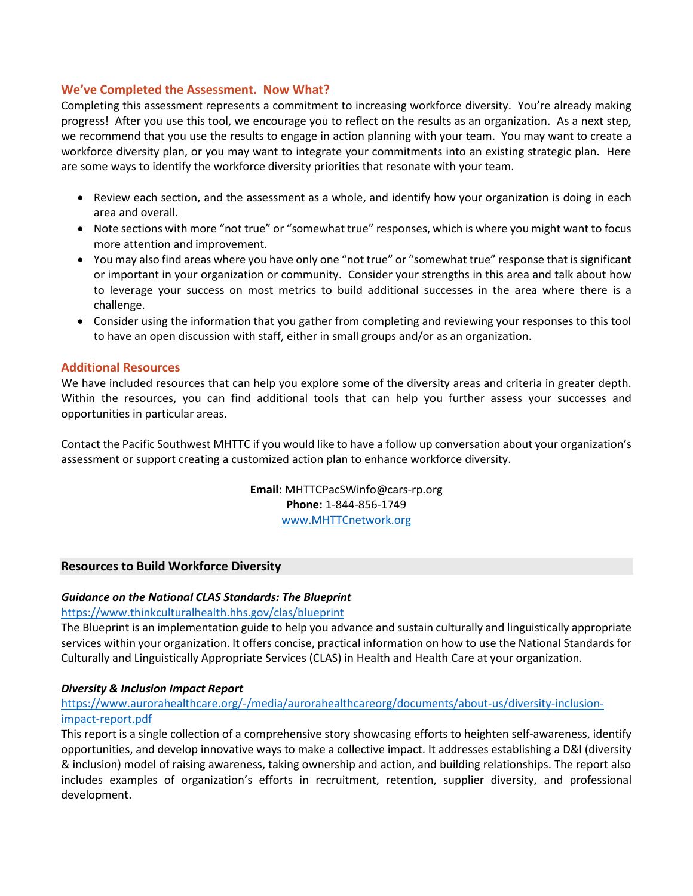# **We've Completed the Assessment. Now What?**

Completing this assessment represents a commitment to increasing workforce diversity. You're already making progress! After you use this tool, we encourage you to reflect on the results as an organization. As a next step, we recommend that you use the results to engage in action planning with your team. You may want to create a workforce diversity plan, or you may want to integrate your commitments into an existing strategic plan. Here are some ways to identify the workforce diversity priorities that resonate with your team.

- Review each section, and the assessment as a whole, and identify how your organization is doing in each area and overall.
- Note sections with more "not true" or "somewhat true" responses, which is where you might want to focus more attention and improvement.
- You may also find areas where you have only one "not true" or "somewhat true" response that is significant or important in your organization or community. Consider your strengths in this area and talk about how to leverage your success on most metrics to build additional successes in the area where there is a challenge.
- Consider using the information that you gather from completing and reviewing your responses to this tool to have an open discussion with staff, either in small groups and/or as an organization.

# **Additional Resources**

We have included resources that can help you explore some of the diversity areas and criteria in greater depth. Within the resources, you can find additional tools that can help you further assess your successes and opportunities in particular areas.

Contact the Pacific Southwest MHTTC if you would like to have a follow up conversation about your organization's assessment or support creating a customized action plan to enhance workforce diversity.

> **Email:** MHTTCPacSWinfo@cars-rp.org **Phone:** 1-844-856-1749 [www.MHTTCnetwork.org](http://www.mhttcnetwork.org/)

# **Resources to Build Workforce Diversity**

# *Guidance on the National CLAS Standards: The Blueprint*

#### <https://www.thinkculturalhealth.hhs.gov/clas/blueprint>

The Blueprint is an implementation guide to help you advance and sustain culturally and linguistically appropriate services within your organization. It offers concise, practical information on how to use the National Standards for Culturally and Linguistically Appropriate Services (CLAS) in Health and Health Care at your organization.

#### *Diversity & Inclusion Impact Report*

# [https://www.aurorahealthcare.org/-/media/aurorahealthcareorg/documents/about-us/diversity-inclusion](https://www.aurorahealthcare.org/-/media/aurorahealthcareorg/documents/about-us/diversity-inclusion-impact-report.pdf)[impact-report.pdf](https://www.aurorahealthcare.org/-/media/aurorahealthcareorg/documents/about-us/diversity-inclusion-impact-report.pdf)

This report is a single collection of a comprehensive story showcasing efforts to heighten self-awareness, identify opportunities, and develop innovative ways to make a collective impact. It addresses establishing a D&I (diversity & inclusion) model of raising awareness, taking ownership and action, and building relationships. The report also includes examples of organization's efforts in recruitment, retention, supplier diversity, and professional development.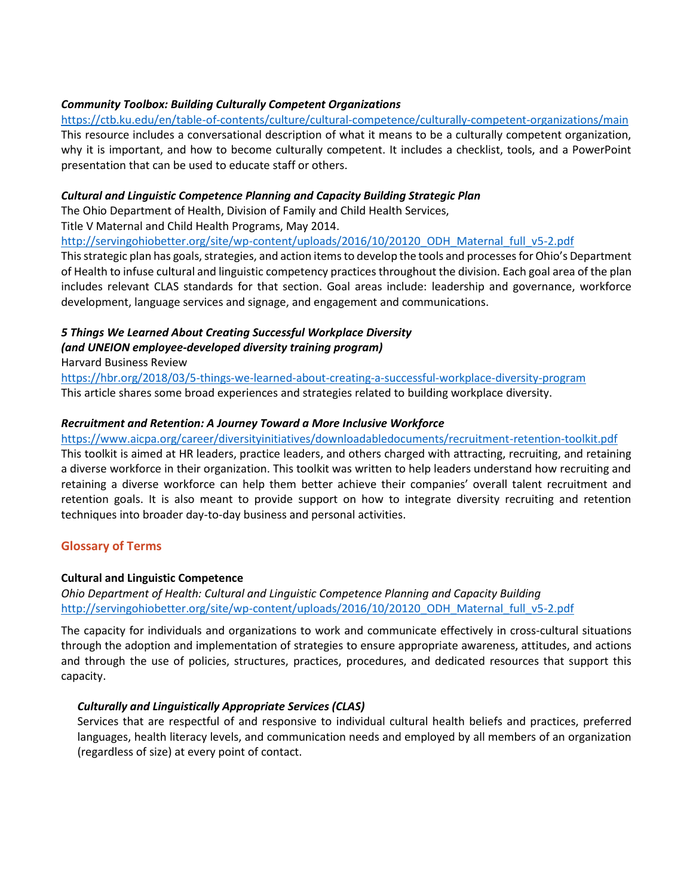# *Community Toolbox: Building Culturally Competent Organizations*

<https://ctb.ku.edu/en/table-of-contents/culture/cultural-competence/culturally-competent-organizations/main> This resource includes a conversational description of what it means to be a culturally competent organization, why it is important, and how to become culturally competent. It includes a checklist, tools, and a PowerPoint presentation that can be used to educate staff or others.

# *Cultural and Linguistic Competence Planning and Capacity Building Strategic Plan*

The Ohio Department of Health, Division of Family and Child Health Services,

Title V Maternal and Child Health Programs, May 2014.

[http://servingohiobetter.org/site/wp-content/uploads/2016/10/20120\\_ODH\\_Maternal\\_full\\_v5-2.pdf](http://servingohiobetter.org/site/wp-content/uploads/2016/10/20120_ODH_Maternal_full_v5-2.pdf)

This strategic plan has goals, strategies, and action items to develop the tools and processes for Ohio's Department of Health to infuse cultural and linguistic competency practices throughout the division. Each goal area of the plan includes relevant CLAS standards for that section. Goal areas include: leadership and governance, workforce development, language services and signage, and engagement and communications.

# *5 Things We Learned About Creating Successful Workplace Diversity (and UNEION employee-developed diversity training program)*

Harvard Business Review

<https://hbr.org/2018/03/5-things-we-learned-about-creating-a-successful-workplace-diversity-program> This article shares some broad experiences and strategies related to building workplace diversity.

# *Recruitment and Retention: A Journey Toward a More Inclusive Workforce*

<https://www.aicpa.org/career/diversityinitiatives/downloadabledocuments/recruitment-retention-toolkit.pdf> This toolkit is aimed at HR leaders, practice leaders, and others charged with attracting, recruiting, and retaining a diverse workforce in their organization. This toolkit was written to help leaders understand how recruiting and retaining a diverse workforce can help them better achieve their companies' overall talent recruitment and retention goals. It is also meant to provide support on how to integrate diversity recruiting and retention techniques into broader day-to-day business and personal activities.

# **Glossary of Terms**

# **Cultural and Linguistic Competence**

*Ohio Department of Health: Cultural and Linguistic Competence Planning and Capacity Building* [http://servingohiobetter.org/site/wp-content/uploads/2016/10/20120\\_ODH\\_Maternal\\_full\\_v5-2.pdf](http://servingohiobetter.org/site/wp-content/uploads/2016/10/20120_ODH_Maternal_full_v5-2.pdf)

The capacity for individuals and organizations to work and communicate effectively in cross-cultural situations through the adoption and implementation of strategies to ensure appropriate awareness, attitudes, and actions and through the use of policies, structures, practices, procedures, and dedicated resources that support this capacity.

# *Culturally and Linguistically Appropriate Services (CLAS)*

Services that are respectful of and responsive to individual cultural health beliefs and practices, preferred languages, health literacy levels, and communication needs and employed by all members of an organization (regardless of size) at every point of contact.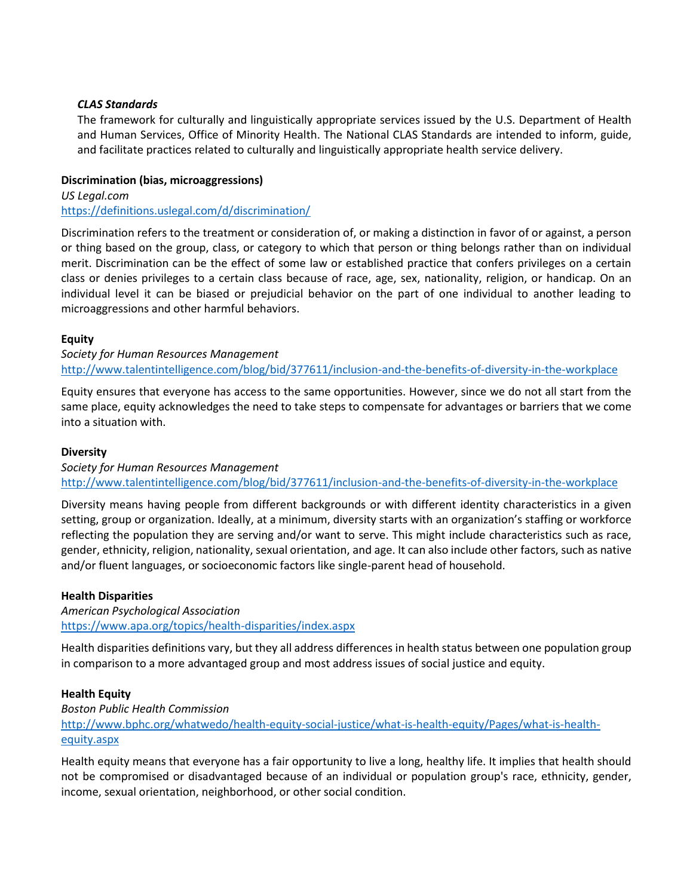### *CLAS Standards*

The framework for culturally and linguistically appropriate services issued by the U.S. Department of Health and Human Services, Office of Minority Health. The National CLAS Standards are intended to inform, guide, and facilitate practices related to culturally and linguistically appropriate health service delivery.

### **Discrimination (bias, microaggressions)**

*US Legal.com* <https://definitions.uslegal.com/d/discrimination/>

Discrimination refers to the treatment or consideration of, or making a distinction in favor of or against, a person or thing based on the group, class, or category to which that person or thing belongs rather than on individual merit. Discrimination can be the effect of some law or established practice that confers privileges on a certain class or denies privileges to a certain class because of race, age, sex, nationality, religion, or handicap. On an individual level it can be biased or prejudicial behavior on the part of one individual to another leading to microaggressions and other harmful behaviors.

# **Equity**

*Society for Human Resources Management*  <http://www.talentintelligence.com/blog/bid/377611/inclusion-and-the-benefits-of-diversity-in-the-workplace>

Equity ensures that everyone has access to the same opportunities. However, since we do not all start from the same place, equity acknowledges the need to take steps to compensate for advantages or barriers that we come into a situation with.

### **Diversity**

*Society for Human Resources Management* <http://www.talentintelligence.com/blog/bid/377611/inclusion-and-the-benefits-of-diversity-in-the-workplace>

Diversity means having people from different backgrounds or with different identity characteristics in a given setting, group or organization. Ideally, at a minimum, diversity starts with an organization's staffing or workforce reflecting the population they are serving and/or want to serve. This might include characteristics such as race, gender, ethnicity, religion, nationality, sexual orientation, and age. It can also include other factors, such as native and/or fluent languages, or socioeconomic factors like single-parent head of household.

#### **Health Disparities**

*American Psychological Association* <https://www.apa.org/topics/health-disparities/index.aspx>

Health disparities definitions vary, but they all address differences in health status between one population group in comparison to a more advantaged group and most address issues of social justice and equity.

#### **Health Equity**

*Boston Public Health Commission* [http://www.bphc.org/whatwedo/health-equity-social-justice/what-is-health-equity/Pages/what-is-health](http://www.bphc.org/whatwedo/health-equity-social-justice/what-is-health-equity/Pages/what-is-health-equity.aspx)[equity.aspx](http://www.bphc.org/whatwedo/health-equity-social-justice/what-is-health-equity/Pages/what-is-health-equity.aspx)

Health equity means that everyone has a fair opportunity to live a long, healthy life. It implies that health should not be compromised or disadvantaged because of an individual or population group's race, ethnicity, gender, income, sexual orientation, neighborhood, or other social condition.